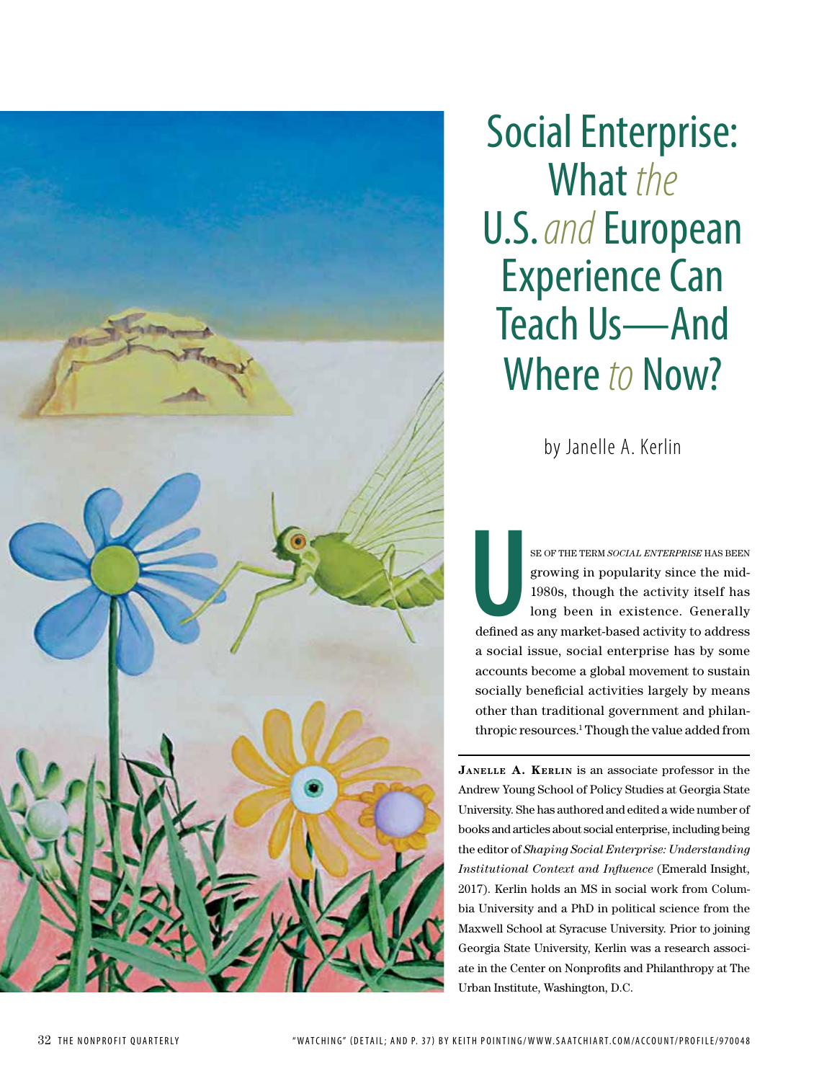

Social Enterprise: What *the* U.S. *and* European Experience Can Teach Us—And Where *to* Now?

by Janelle A. Kerlin

EXECT OF THE TERM *SOCIAL ENTERPRISE* HAS BEEN growing in popularity since the mid-1980s, though the activity itself has long been in existence. Generally defined as any market-based activity to address growing in popularity since the mid-1980s, though the activity itself has long been in existence. Generally defined as any market-based activity to address a social issue, social enterprise has by some accounts become a global movement to sustain socially beneficial activities largely by means other than traditional government and philanthropic resources.<sup>1</sup> Though the value added from

**Janelle A. Kerlin** is an associate professor in the Andrew Young School of Policy Studies at Georgia State University. She has authored and edited a wide number of books and articles about social enterprise, including being the editor of *Shaping Social Enterprise: Understanding Institutional Context and Influence* (Emerald Insight, 2017). Kerlin holds an MS in social work from Columbia University and a PhD in political science from the Maxwell School at Syracuse University. Prior to joining Georgia State University, Kerlin was a research associate in the Center on Nonprofits and Philanthropy at The Urban Institute, Washington, D.C.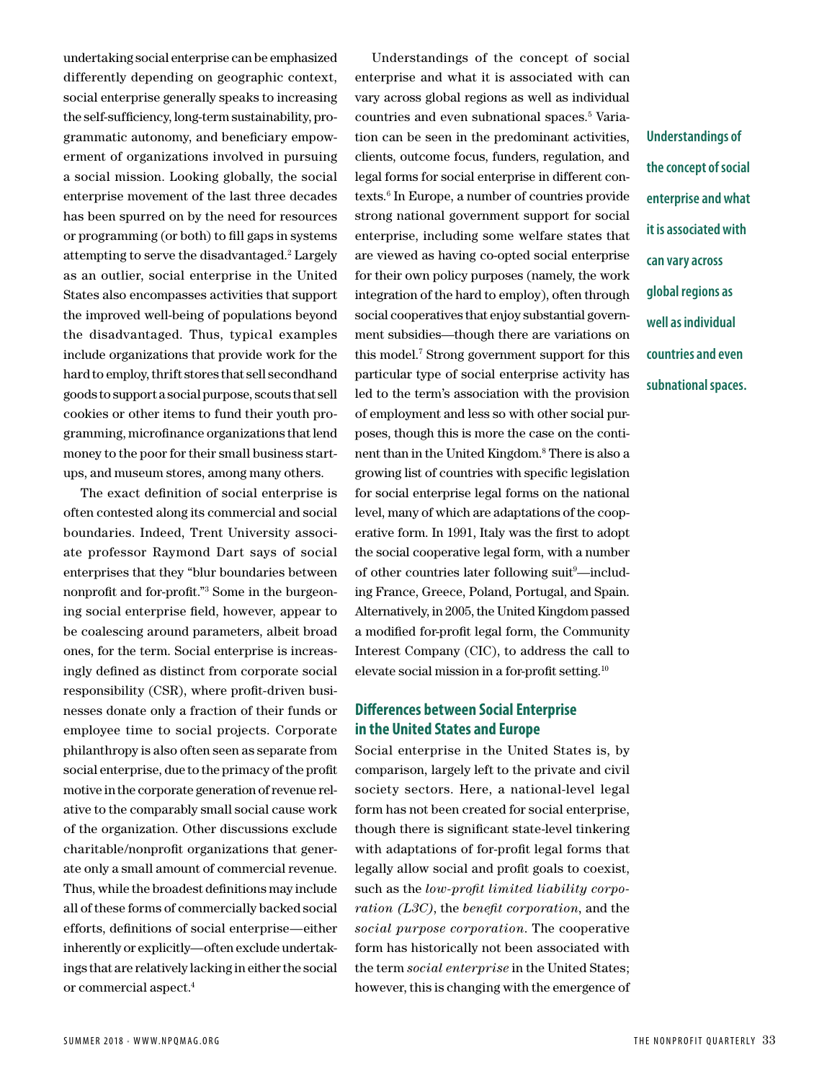undertaking social enterprise can be emphasized differently depending on geographic context, social enterprise generally speaks to increasing the self-sufficiency, long-term sustainability, programmatic autonomy, and beneficiary empowerment of organizations involved in pursuing a social mission. Looking globally, the social enterprise movement of the last three decades has been spurred on by the need for resources or programming (or both) to fill gaps in systems attempting to serve the disadvantaged.<sup>2</sup> Largely as an outlier, social enterprise in the United States also encompasses activities that support the improved well-being of populations beyond the disadvantaged. Thus, typical examples include organizations that provide work for the hard to employ, thrift stores that sell secondhand goods to support a social purpose, scouts that sell cookies or other items to fund their youth programming, microfinance organizations that lend money to the poor for their small business startups, and museum stores, among many others.

The exact definition of social enterprise is often contested along its commercial and social boundaries. Indeed, Trent University associate professor Raymond Dart says of social enterprises that they "blur boundaries between nonprofit and for-profit."3 Some in the burgeoning social enterprise field, however, appear to be coalescing around parameters, albeit broad ones, for the term. Social enterprise is increasingly defined as distinct from corporate social responsibility (CSR), where profit-driven businesses donate only a fraction of their funds or employee time to social projects. Corporate philanthropy is also often seen as separate from social enterprise, due to the primacy of the profit motive in the corporate generation of revenue relative to the comparably small social cause work of the organization. Other discussions exclude charitable/nonprofit organizations that generate only a small amount of commercial revenue. Thus, while the broadest definitions may include all of these forms of commercially backed social efforts, definitions of social enterprise—either inherently or explicitly—often exclude undertakings that are relatively lacking in either the social or commercial aspect.4

Understandings of the concept of social enterprise and what it is associated with can vary across global regions as well as individual countries and even subnational spaces.5 Variation can be seen in the predominant activities, clients, outcome focus, funders, regulation, and legal forms for social enterprise in different contexts.<sup>6</sup> In Europe, a number of countries provide strong national government support for social enterprise, including some welfare states that are viewed as having co-opted social enterprise for their own policy purposes (namely, the work integration of the hard to employ), often through social cooperatives that enjoy substantial government subsidies—though there are variations on this model.7 Strong government support for this particular type of social enterprise activity has led to the term's association with the provision of employment and less so with other social purposes, though this is more the case on the continent than in the United Kingdom.8 There is also a growing list of countries with specific legislation for social enterprise legal forms on the national level, many of which are adaptations of the cooperative form. In 1991, Italy was the first to adopt the social cooperative legal form, with a number of other countries later following suit<sup>9</sup>-including France, Greece, Poland, Portugal, and Spain. Alternatively, in 2005, the United Kingdom passed a modified for-profit legal form, the Community Interest Company (CIC), to address the call to elevate social mission in a for-profit setting.10

## **Differences between Social Enterprise in the United States and Europe**

Social enterprise in the United States is, by comparison, largely left to the private and civil society sectors. Here, a national-level legal form has not been created for social enterprise, though there is significant state-level tinkering with adaptations of for-profit legal forms that legally allow social and profit goals to coexist, such as the *low-profit limited liability corporation (L3C)*, the *benefit corporation*, and the *social purpose corporation*. The cooperative form has historically not been associated with the term *social enterprise* in the United States; however, this is changing with the emergence of **Understandings of** 

**the concept of social** 

**enterprise and what** 

**it is associated with** 

**can vary across** 

**global regions as** 

**well as individual** 

**countries and even** 

**subnational spaces.**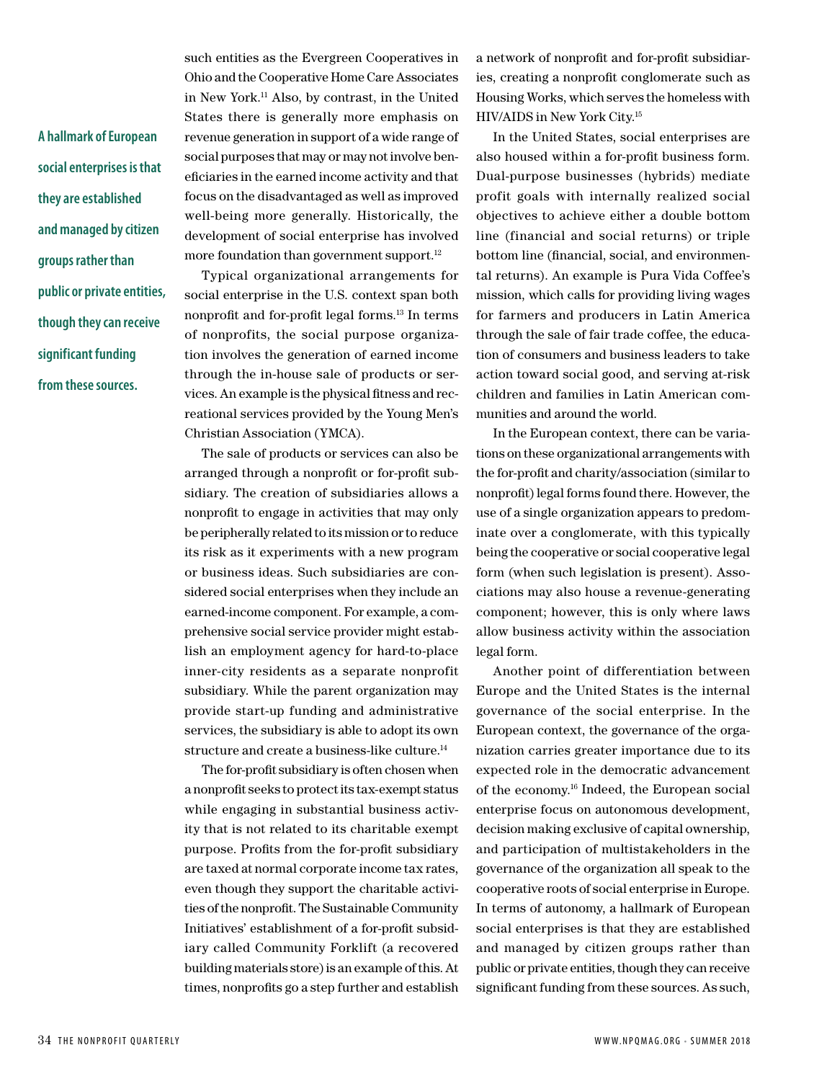**A hallmark of European social enterprises is that they are established and managed by citizen groups rather than public or private entities, though they can receive significant funding from these sources.** 

such entities as the Evergreen Cooperatives in Ohio and the Cooperative Home Care Associates in New York.11 Also, by contrast, in the United States there is generally more emphasis on revenue generation in support of a wide range of social purposes that may or may not involve beneficiaries in the earned income activity and that focus on the disadvantaged as well as improved well-being more generally. Historically, the development of social enterprise has involved more foundation than government support. $12$ 

Typical organizational arrangements for social enterprise in the U.S. context span both nonprofit and for-profit legal forms.13 In terms of nonprofits, the social purpose organization involves the generation of earned income through the in-house sale of products or services. An example is the physical fitness and recreational services provided by the Young Men's Christian Association (YMCA).

The sale of products or services can also be arranged through a nonprofit or for-profit subsidiary. The creation of subsidiaries allows a nonprofit to engage in activities that may only be peripherally related to its mission or to reduce its risk as it experiments with a new program or business ideas. Such subsidiaries are considered social enterprises when they include an earned-income component. For example, a comprehensive social service provider might establish an employment agency for hard-to-place inner-city residents as a separate nonprofit subsidiary. While the parent organization may provide start-up funding and administrative services, the subsidiary is able to adopt its own structure and create a business-like culture.14

The for-profit subsidiary is often chosen when a nonprofit seeks to protect its tax-exempt status while engaging in substantial business activity that is not related to its charitable exempt purpose. Profits from the for-profit subsidiary are taxed at normal corporate income tax rates, even though they support the charitable activities of the nonprofit. The Sustainable Community Initiatives' establishment of a for-profit subsidiary called Community Forklift (a recovered building materials store) is an example of this. At times, nonprofits go a step further and establish

a network of nonprofit and for-profit subsidiaries, creating a nonprofit conglomerate such as Housing Works, which serves the homeless with HIV/AIDS in New York City.15

In the United States, social enterprises are also housed within a for-profit business form. Dual-purpose businesses (hybrids) mediate profit goals with internally realized social objectives to achieve either a double bottom line (financial and social returns) or triple bottom line (financial, social, and environmental returns). An example is Pura Vida Coffee's mission, which calls for providing living wages for farmers and producers in Latin America through the sale of fair trade coffee, the education of consumers and business leaders to take action toward social good, and serving at-risk children and families in Latin American communities and around the world.

In the European context, there can be variations on these organizational arrangements with the for-profit and charity/association (similar to nonprofit) legal forms found there. However, the use of a single organization appears to predominate over a conglomerate, with this typically being the cooperative or social cooperative legal form (when such legislation is present). Associations may also house a revenue-generating component; however, this is only where laws allow business activity within the association legal form.

Another point of differentiation between Europe and the United States is the internal governance of the social enterprise. In the European context, the governance of the organization carries greater importance due to its expected role in the democratic advancement of the economy.16 Indeed, the European social enterprise focus on autonomous development, decision making exclusive of capital ownership, and participation of multistakeholders in the governance of the organization all speak to the cooperative roots of social enterprise in Europe. In terms of autonomy, a hallmark of European social enterprises is that they are established and managed by citizen groups rather than public or private entities, though they can receive significant funding from these sources. As such,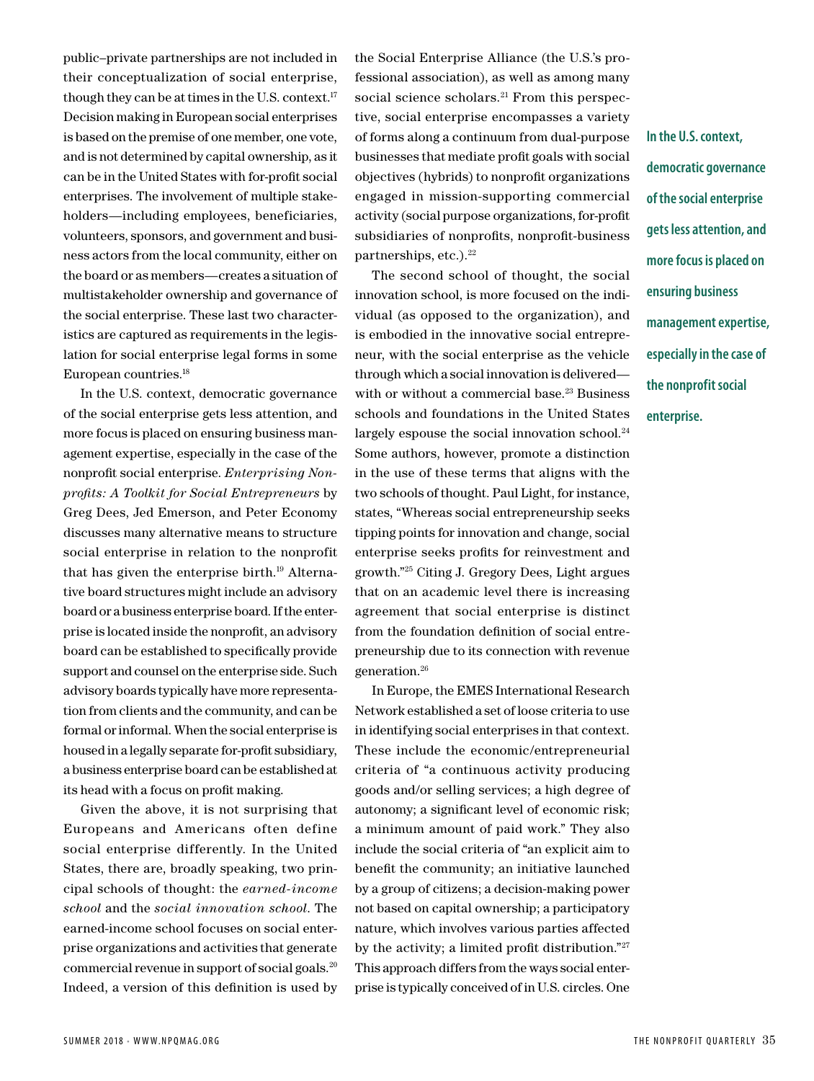public–private partnerships are not included in their conceptualization of social enterprise, though they can be at times in the U.S. context.17 Decision making in European social enterprises is based on the premise of one member, one vote, and is not determined by capital ownership, as it can be in the United States with for-profit social enterprises. The involvement of multiple stakeholders—including employees, beneficiaries, volunteers, sponsors, and government and business actors from the local community, either on the board or as members—creates a situation of multistakeholder ownership and governance of the social enterprise. These last two characteristics are captured as requirements in the legislation for social enterprise legal forms in some European countries.18

In the U.S. context, democratic governance of the social enterprise gets less attention, and more focus is placed on ensuring business management expertise, especially in the case of the nonprofit social enterprise. *Enterprising Nonprofits: A Toolkit for Social Entrepreneurs* by Greg Dees, Jed Emerson, and Peter Economy discusses many alternative means to structure social enterprise in relation to the nonprofit that has given the enterprise birth.19 Alternative board structures might include an advisory board or a business enterprise board. If the enterprise is located inside the nonprofit, an advisory board can be established to specifically provide support and counsel on the enterprise side. Such advisory boards typically have more representation from clients and the community, and can be formal or informal. When the social enterprise is housed in a legally separate for-profit subsidiary, a business enterprise board can be established at its head with a focus on profit making.

Given the above, it is not surprising that Europeans and Americans often define social enterprise differently. In the United States, there are, broadly speaking, two principal schools of thought: the *earned-income school* and the *social innovation school*. The earned-income school focuses on social enterprise organizations and activities that generate commercial revenue in support of social goals.20 Indeed, a version of this definition is used by

the Social Enterprise Alliance (the U.S.'s professional association), as well as among many social science scholars.<sup>21</sup> From this perspective, social enterprise encompasses a variety of forms along a continuum from dual-purpose businesses that mediate profit goals with social objectives (hybrids) to nonprofit organizations engaged in mission-supporting commercial activity (social purpose organizations, for-profit subsidiaries of nonprofits, nonprofit-business partnerships, etc.). $22$ 

The second school of thought, the social innovation school, is more focused on the individual (as opposed to the organization), and is embodied in the innovative social entrepreneur, with the social enterprise as the vehicle through which a social innovation is delivered with or without a commercial base.<sup>23</sup> Business schools and foundations in the United States largely espouse the social innovation school.<sup>24</sup> Some authors, however, promote a distinction in the use of these terms that aligns with the two schools of thought. Paul Light, for instance, states, "Whereas social entrepreneurship seeks tipping points for innovation and change, social enterprise seeks profits for reinvestment and growth."25 Citing J. Gregory Dees, Light argues that on an academic level there is increasing agreement that social enterprise is distinct from the foundation definition of social entrepreneurship due to its connection with revenue generation.26

In Europe, the EMES International Research Network established a set of loose criteria to use in identifying social enterprises in that context. These include the economic/entrepreneurial criteria of "a continuous activity producing goods and/or selling services; a high degree of autonomy; a significant level of economic risk; a minimum amount of paid work." They also include the social criteria of "an explicit aim to benefit the community; an initiative launched by a group of citizens; a decision-making power not based on capital ownership; a participatory nature, which involves various parties affected by the activity; a limited profit distribution."<sup>27</sup> This approach differs from the ways social enterprise is typically conceived of in U.S. circles. One **In the U.S. context, democratic governance of the social enterprise gets less attention, and more focus is placed on ensuring business management expertise, especially in the case of the nonprofit social enterprise.**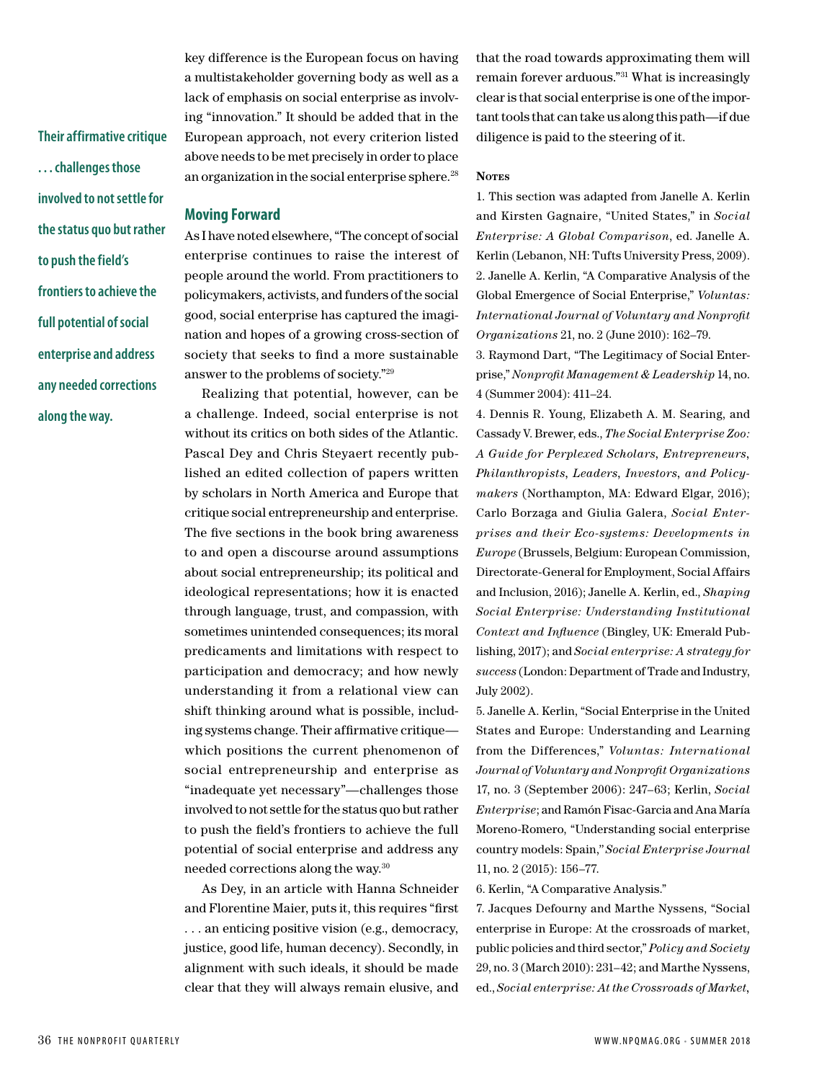**Their affirmative critique . . . challenges those involved to not settle for the status quo but rather to push the field's frontiers to achieve the full potential of social enterprise and address any needed corrections along the way.**

key difference is the European focus on having a multistakeholder governing body as well as a lack of emphasis on social enterprise as involving "innovation." It should be added that in the European approach, not every criterion listed above needs to be met precisely in order to place an organization in the social enterprise sphere.<sup>28</sup>

## **Moving Forward**

As I have noted elsewhere, "The concept of social enterprise continues to raise the interest of people around the world. From practitioners to policymakers, activists, and funders of the social good, social enterprise has captured the imagination and hopes of a growing cross-section of society that seeks to find a more sustainable answer to the problems of society."29

Realizing that potential, however, can be a challenge. Indeed, social enterprise is not without its critics on both sides of the Atlantic. Pascal Dey and Chris Steyaert recently published an edited collection of papers written by scholars in North America and Europe that critique social entrepreneurship and enterprise. The five sections in the book bring awareness to and open a discourse around assumptions about social entrepreneurship; its political and ideological representations; how it is enacted through language, trust, and compassion, with sometimes unintended consequences; its moral predicaments and limitations with respect to participation and democracy; and how newly understanding it from a relational view can shift thinking around what is possible, including systems change. Their affirmative critique which positions the current phenomenon of social entrepreneurship and enterprise as "inadequate yet necessary"—challenges those involved to not settle for the status quo but rather to push the field's frontiers to achieve the full potential of social enterprise and address any needed corrections along the way.30

As Dey, in an article with Hanna Schneider and Florentine Maier, puts it, this requires "first . . . an enticing positive vision (e.g., democracy, justice, good life, human decency). Secondly, in alignment with such ideals, it should be made clear that they will always remain elusive, and

that the road towards approximating them will remain forever arduous."31 What is increasingly clear is that social enterprise is one of the important tools that can take us along this path—if due diligence is paid to the steering of it.

## **Notes**

1. This section was adapted from Janelle A. Kerlin and Kirsten Gagnaire, "United States," in *Social Enterprise: A Global Comparison*, ed. Janelle A. Kerlin (Lebanon, NH: Tufts University Press, 2009). 2. Janelle A. Kerlin, "A Comparative Analysis of the Global Emergence of Social Enterprise," *Voluntas: International Journal of Voluntary and Nonprofit Organizations* 21, no. 2 (June 2010): 162–79.

3. Raymond Dart, "The Legitimacy of Social Enterprise," *Nonprofit Management & Leadership* 14, no. 4 (Summer 2004): 411–24.

4. Dennis R. Young, Elizabeth A. M. Searing, and Cassady V. Brewer, eds., *The Social Enterprise Zoo: A Guide for Perplexed Scholars, Entrepreneurs, Philanthropists, Leaders, Investors, and Policymakers* (Northampton, MA: Edward Elgar, 2016); Carlo Borzaga and Giulia Galera, *Social Enterprises and their Eco-systems: Developments in Europe* (Brussels, Belgium: European Commission, Directorate-General for Employment, Social Affairs and Inclusion, 2016); Janelle A. Kerlin, ed., *Shaping Social Enterprise: Understanding Institutional Context and Influence* (Bingley, UK: Emerald Publishing, 2017); and *Social enterprise: A strategy for success* (London: Department of Trade and Industry, July 2002).

5. Janelle A. Kerlin, "Social Enterprise in the United States and Europe: Understanding and Learning from the Differences," *Voluntas: International Journal of Voluntary and Nonprofit Organizations* 17, no. 3 (September 2006): 247–63; Kerlin, *Social Enterprise*; and Ramón Fisac-Garcia and Ana María Moreno-Romero, "Understanding social enterprise country models: Spain,*" Social Enterprise Journal* 11, no. 2 (2015): 156–77.

6. Kerlin, "A Comparative Analysis."

7. Jacques Defourny and Marthe Nyssens, "Social enterprise in Europe: At the crossroads of market, public policies and third sector," *Policy and Society* 29, no. 3 (March 2010): 231–42; and Marthe Nyssens, ed., *Social enterprise: At the Crossroads of Market,*